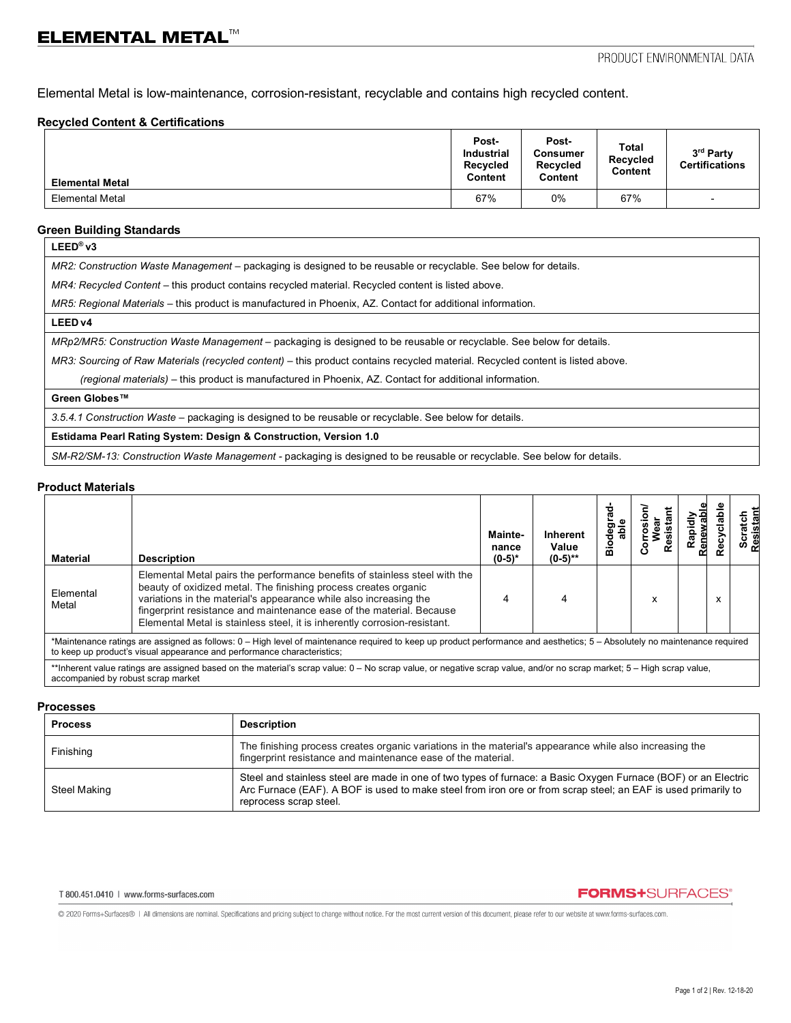Elemental Metal is low-maintenance, corrosion-resistant, recyclable and contains high recycled content.

### **Recycled Content & Certifications**

| <b>Elemental Metal</b> | Post-<br><b>Industrial</b><br><b>Recycled</b><br>Content | Post-<br>Consumer<br>Recycled<br>Content | <b>Total</b><br><b>Recycled</b><br>Content | 3rd Party<br><b>Certifications</b> |
|------------------------|----------------------------------------------------------|------------------------------------------|--------------------------------------------|------------------------------------|
| <b>Elemental Metal</b> | 67%                                                      | 0%                                       | 67%                                        | $\overline{\phantom{0}}$           |

### **Green Building Standards**

| - |
|---|
|---|

*MR2: Construction Waste Management –* packaging is designed to be reusable or recyclable. See below for details.

*MR4: Recycled Content* – this product contains recycled material. Recycled content is listed above.

*MR5: Regional Materials* – this product is manufactured in Phoenix, AZ. Contact for additional information.

### **LEED v4**

*MRp2/MR5: Construction Waste Management –* packaging is designed to be reusable or recyclable. See below for details.

*MR3: Sourcing of Raw Materials (recycled content)* - this product contains recycled material. Recycled content is listed above.

 *(regional materials)* – this product is manufactured in Phoenix, AZ. Contact for additional information.

### **Green Globes™**

*3.5.4.1 Construction Waste* – packaging is designed to be reusable or recyclable. See below for details.

## **Estidama Pearl Rating System: Design & Construction, Version 1.0**

*SM-R2/SM-13: Construction Waste Management -* packaging is designed to be reusable or recyclable. See below for details.

### **Product Materials**

| Material                                                                                                                                                                                                                                              | <b>Description</b>                                                                                                                                                                                                                                                                                                                                                      | Mainte-<br>nance<br>$(0-5)*$ | <b>Inherent</b><br>Value<br>$(0-5)$ ** | ŏ<br>ă | esist | Rapidh |   | es<br>ں |
|-------------------------------------------------------------------------------------------------------------------------------------------------------------------------------------------------------------------------------------------------------|-------------------------------------------------------------------------------------------------------------------------------------------------------------------------------------------------------------------------------------------------------------------------------------------------------------------------------------------------------------------------|------------------------------|----------------------------------------|--------|-------|--------|---|---------|
| Elemental<br>Metal                                                                                                                                                                                                                                    | Elemental Metal pairs the performance benefits of stainless steel with the<br>beauty of oxidized metal. The finishing process creates organic<br>variations in the material's appearance while also increasing the<br>fingerprint resistance and maintenance ease of the material. Because<br>Elemental Metal is stainless steel, it is inherently corrosion-resistant. |                              |                                        |        | x     |        | X |         |
| *Maintenance ratings are assigned as follows: 0 – High level of maintenance required to keep up product performance and aesthetics; 5 – Absolutely no maintenance required<br>to keep up product's visual appearance and performance characteristics; |                                                                                                                                                                                                                                                                                                                                                                         |                              |                                        |        |       |        |   |         |
| **Inherent value ratings are assigned based on the material's scrap value: 0 – No scrap value, or negative scrap value, and/or no scrap market; 5 – High scrap value,<br>accompanied by robust scrap market                                           |                                                                                                                                                                                                                                                                                                                                                                         |                              |                                        |        |       |        |   |         |

### **Processes**

| <b>Process</b> | <b>Description</b>                                                                                                                                                                                                                                        |
|----------------|-----------------------------------------------------------------------------------------------------------------------------------------------------------------------------------------------------------------------------------------------------------|
| Finishing      | The finishing process creates organic variations in the material's appearance while also increasing the<br>fingerprint resistance and maintenance ease of the material.                                                                                   |
| Steel Making   | Steel and stainless steel are made in one of two types of furnace: a Basic Oxygen Furnace (BOF) or an Electric<br>Arc Furnace (EAF). A BOF is used to make steel from iron ore or from scrap steel; an EAF is used primarily to<br>reprocess scrap steel. |

#### T 800.451.0410 | www.forms-surfaces.com

## **FORMS+SURFACES®**

@ 2020 Forms+Surfaces® | All dimensions are nominal. Specifications and pricing subject to change without notice. For the most current version of this document, please refer to our website at www.forms-surfaces.com